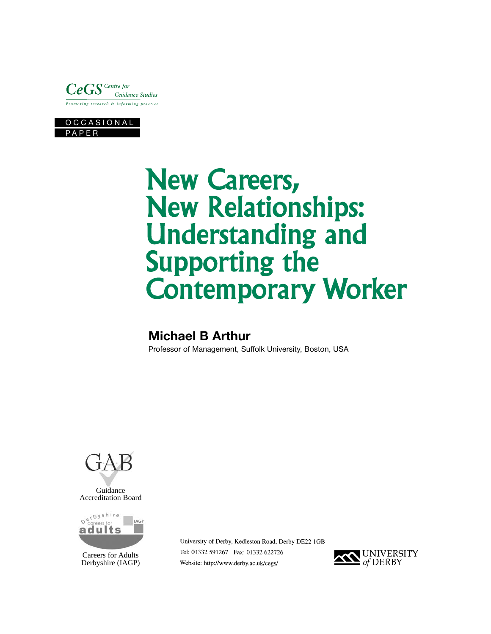



# **New Careers, New Relationships: Understanding and Supporting the Contemporary Worker**

# **Michael B Arthur**

Professor of Management, Suffolk University, Boston, USA





Careers for Adults Derbyshire (IAGP) University of Derby, Kedleston Road, Derby DE22 1GB Tel: 01332 591267 Fax: 01332 622726 Website: http://www.derby.ac.uk/cegs/

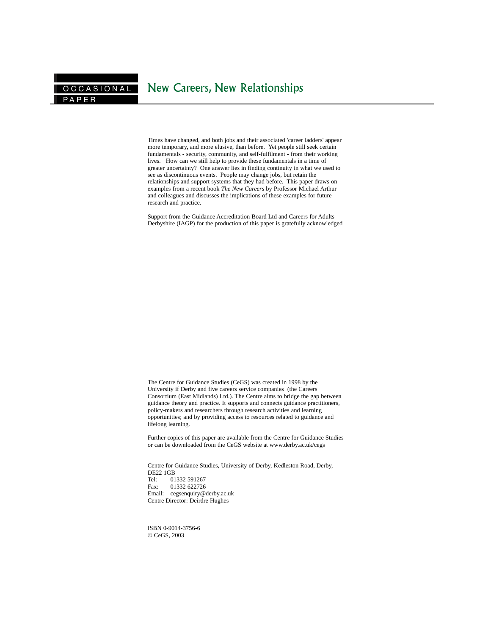Times have changed, and both jobs and their associated 'career ladders' appear more temporary, and more elusive, than before. Yet people still seek certain fundamentals - security, community, and self-fulfilment - from their working lives. How can we still help to provide these fundamentals in a time of greater uncertainty? One answer lies in finding continuity in what we used to see as discontinuous events. People may change jobs, but retain the relationships and support systems that they had before. This paper draws on examples from a recent book *The New Careers* by Professor Michael Arthur and colleagues and discusses the implications of these examples for future research and practice.

Support from the Guidance Accreditation Board Ltd and Careers for Adults Derbyshire (IAGP) for the production of this paper is gratefully acknowledged

The Centre for Guidance Studies (CeGS) was created in 1998 by the University if Derby and five careers service companies (the Careers Consortium (East Midlands) Ltd.). The Centre aims to bridge the gap between guidance theory and practice. It supports and connects guidance practitioners, policy-makers and researchers through research activities and learning opportunities; and by providing access to resources related to guidance and lifelong learning.

Further copies of this paper are available from the Centre for Guidance Studies or can be downloaded from the CeGS website at www.derby.ac.uk/cegs

Centre for Guidance Studies, University of Derby, Kedleston Road, Derby, DE22 1GB<br>Tel: 01 01332 591267 Fax: 01332 622726 Email: cegsenquiry@derby.ac.uk Centre Director: Deirdre Hughes

ISBN 0-9014-3756-6 © CeGS, 2003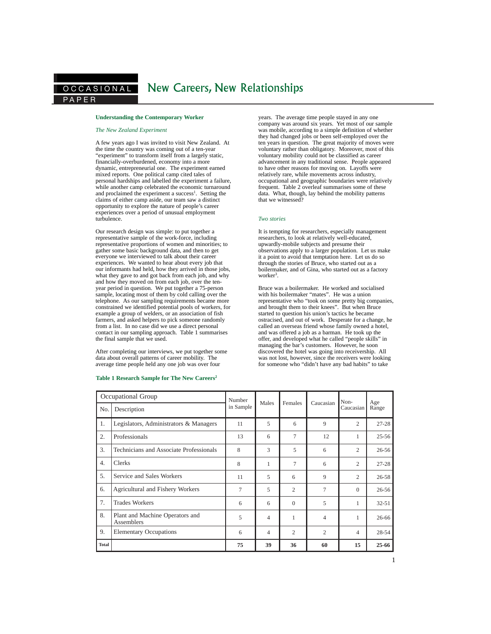## **Understanding the Contemporary Worker**

#### *The New Zealand Experiment*

A few years ago I was invited to visit New Zealand. At the time the country was coming out of a ten-year "experiment" to transform itself from a largely static, financially-overburdened, economy into a more dynamic, entrepreneurial one. The experiment earned mixed reports. One political camp cited tales of personal hardships and labelled the experiment a failure, while another camp celebrated the economic turnaround and proclaimed the experiment a success<sup>1</sup>. Setting the claims of either camp aside, our team saw a distinct opportunity to explore the nature of people's career experiences over a period of unusual employment turbulence.

Our research design was simple: to put together a representative sample of the work-force, including representative proportions of women and minorities; to gather some basic background data, and then to get everyone we interviewed to talk about their career experiences. We wanted to hear about every job that our informants had held, how they arrived in those jobs, what they gave to and got back from each job, and why and how they moved on from each job, over the tenyear period in question. We put together a 75-person sample, locating most of them by cold calling over the telephone. As our sampling requirements became more constrained we identified potential pools of workers, for example a group of welders, or an association of fish farmers, and asked helpers to pick someone randomly from a list. In no case did we use a direct personal contact in our sampling approach. Table 1 summarises the final sample that we used.

After completing our interviews, we put together some data about overall patterns of career mobility. The average time people held any one job was over four

## **Table 1 Research Sample for The New Careers**<sup>2</sup> **Table 1 Research Sample for The New Careers <sup>T</sup> <sup>2</sup> <sup>2</sup>**

years. The average time people stayed in any one company was around six years. Yet most of our sample was mobile, according to a simple definition of whether they had changed jobs or been self-employed over the ten years in question. The great majority of moves were voluntary rather than obligatory. Moreover, most of this voluntary mobility could not be classified as career advancement in any traditional sense. People appeared to have other reasons for moving on. Layoffs were relatively rare, while movements across industry, occupational and geographic boundaries were relatively frequent. Table 2 overleaf summarises some of these data. What, though, lay behind the mobility patterns that we witnessed?

## *Two stories*

It is tempting for researchers, especially management researchers, to look at relatively well-educated, upwardly-mobile subjects and presume their observations apply to a larger population. Let us make it a point to avoid that temptation here. Let us do so through the stories of Bruce, who started out as a boilermaker, and of Gina, who started out as a factory worker<sup>3</sup>.

Bruce was a boilermaker. He worked and socialised with his boilermaker "mates". He was a union representative who "took on some pretty big companies, and brought them to their knees". But when Bruce started to question his union's tactics he became ostracised, and out of work. Desperate for a change, he called an overseas friend whose family owned a hotel, and was offered a job as a barman. He took up the offer, and developed what he called "people skills" in managing the bar's customers. However, he soon discovered the hotel was going into receivership. All was not lost, however, since the receivers were looking for someone who "didn't have any bad habits" to take

| Occupational Group |                                                      | Number    | Males | Females        | Caucasian      | Non-           | Age       |
|--------------------|------------------------------------------------------|-----------|-------|----------------|----------------|----------------|-----------|
| No.                | Description                                          | in Sample |       |                |                | Caucasian      | Range     |
| 1.                 | Legislators, Administrators & Managers               | 11        | 5     | 6              | 9              | $\overline{2}$ | $27 - 28$ |
| 2.                 | Professionals                                        | 13        | 6     | 7              | 12             | 1              | $25 - 56$ |
| 3.                 | Technicians and Associate Professionals              | 8         | 3     | 5              | 6              | $\overline{2}$ | $26 - 56$ |
| $\overline{4}$ .   | <b>Clerks</b>                                        | 8         | 1     | $\tau$         | 6              | 2              | $27 - 28$ |
| 5.                 | Service and Sales Workers                            | 11        | 5     | 6              | 9              | 2              | $26 - 58$ |
| 6.                 | Agricultural and Fishery Workers                     | 7         | 5     | $\overline{c}$ | 7              | $\Omega$       | $26 - 56$ |
| 7.                 | <b>Trades Workers</b>                                | 6         | 6     | $\Omega$       | 5              | 1              | $32 - 51$ |
| 8.                 | Plant and Machine Operators and<br><b>Assemblers</b> | 5         | 4     | 1              | 4              | 1              | 26-66     |
| 9.                 | <b>Elementary Occupations</b>                        | 6         | 4     | 2              | $\overline{c}$ | 4              | 28-54     |
| <b>Total</b>       |                                                      | 75        | 39    | 36             | 60             | 15             | 25-66     |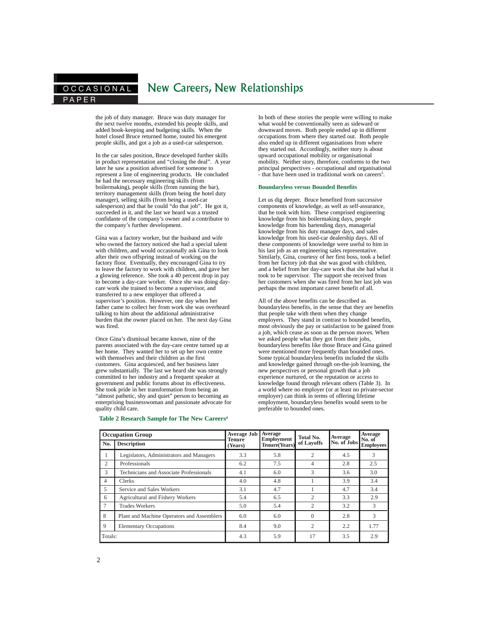## OCCASIONAL New Careers, New Relationships

the job of duty manager. Bruce was duty manager for the next twelve months, extended his people skills, and added book-keeping and budgeting skills. When the hotel closed Bruce returned home, touted his emergent people skills, and got a job as a used-car salesperson.

In the car sales position, Bruce developed further skills in product representation and "closing the deal". A year later he saw a position advertised for someone to represent a line of engineering products. He concluded he had the necessary engineering skills (from boilermaking), people skills (from running the bar), territory management skills (from being the hotel duty manager), selling skills (from being a used-car salesperson) and that he could "do that job". He got it, succeeded in it, and the last we heard was a trusted confidante of the company's owner and a contributor to the company's further development.

Gina was a factory worker, but the husband and wife who owned the factory noticed she had a special talent with children, and would occasionally ask Gina to look after their own offspring instead of working on the factory floor. Eventually, they encouraged Gina to try to leave the factory to work with children, and gave her a glowing reference. She took a 40 percent drop in pay to become a day-care worker. Once she was doing daycare work she trained to become a supervisor, and transferred to a new employer that offered a supervisor's position. However, one day when her father came to collect her from work she was overheard talking to him about the additional administrative burden that the owner placed on her. The next day Gina was fired.

Once Gina's dismissal became known, nine of the parents associated with the day-care centre turned up at her home. They wanted her to set up her own centre with themselves and their children as the first customers. Gina acquiesced, and her business later grew substantially. The last we heard she was strongly committed to her industry and a frequent speaker at government and public forums about its effectiveness. She took pride in her transformation from being an "almost pathetic, shy and quiet" person to becoming an enterprising businesswoman and passionate advocate for quality child care.

## **Table 2 Research Sample for The New Careers<sup>4</sup>**

In both of these stories the people were willing to make what would be conventionally seen as sideward or downward moves. Both people ended up in different occupations from where they started out. Both people also ended up in different organisations from where they started out. Accordingly, neither story is about upward occupational mobility or organisational mobility. Neither story, therefore, conforms to the two principal perspectives - occupational and organisational - that have been used in traditional work on careers<sup>5</sup>.

#### **Boundaryless versus Bounded Benefits**

Let us dig deeper. Bruce benefited from successive components of knowledge, as well as self-assurance, that he took with him. These comprised engineering knowledge from his boilermaking days, people knowledge from his bartending days, managerial knowledge from his duty manager days, and sales knowledge from his used-car dealership days. All of these components of knowledge were useful to him in his last job as an engineering sales representative. Similarly, Gina, courtesy of her first boss, took a belief from her factory job that she was good with children, and a belief from her day-care work that she had what it took to be supervisor. The support she received from her customers when she was fired from her last job was perhaps the most important career benefit of all.

All of the above benefits can be described as boundaryless benefits, in the sense that they are benefits that people take with them when they change employers. They stand in contrast to bounded benefits, most obviously the pay or satisfaction to be gained from a job, which cease as soon as the person moves. When we asked people what they got from their jobs, boundaryless benefits like those Bruce and Gina gained were mentioned more frequently than bounded ones. Some typical boundaryless benefits included the skills and knowledge gained through on-the-job learning, the new perspectives or personal growth that a job experience nurtured, or the reputation or access to knowledge found through relevant others (Table 3). In a world where no employer (or at least no private-sector employer) can think in terms of offering lifetime employment, boundaryless benefits would seem to be preferable to bounded ones.

| <b>Occupation Group</b> |                                            | <b>Average Job</b><br><b>Tenure</b> | Average<br><b>Employment</b> | Total No.      | Average     | <b>Average</b><br>No. of |
|-------------------------|--------------------------------------------|-------------------------------------|------------------------------|----------------|-------------|--------------------------|
| No.                     | <b>Description</b>                         | (Years)                             | <b>Tenure</b> (Years)        | of Layoffs     | No. of Jobs | <b>Employees</b>         |
|                         | Legislators, Administrators and Managers   | 3.3                                 | 5.8                          | $\overline{c}$ | 4.5         | 3                        |
| $\overline{c}$          | Professionals                              | 6.2                                 | 7.5                          | 4              | 2.8         | 2.5                      |
| 3                       | Technicians and Associate Professionals    | 4.1                                 | 6.0                          | $\mathcal{R}$  | 3.6         | 3.0                      |
| 4                       | Clerks                                     | 4.0                                 | 4.8                          |                | 3.9         | 3.4                      |
| 5                       | Service and Sales Workers                  | 3.1                                 | 4.7                          |                | 4.7         | 3.4                      |
| 6                       | Agricultural and Fishery Workers           | 5.4                                 | 6.5                          | $\overline{c}$ | 3.3         | 2.9                      |
| 7                       | <b>Trades Workers</b>                      | 5.0                                 | 5.4                          | $\overline{c}$ | 3.2         | 3                        |
| 8                       | Plant and Machine Operators and Assemblers | 6.0                                 | 6.0                          | $\Omega$       | 2.8         | 3                        |
| 9                       | <b>Elementary Occupations</b>              | 8.4                                 | 9.0                          | $\overline{c}$ | 2.2         | 1.77                     |
| Totals:                 |                                            | 4.3                                 | 5.9                          | 17             | 3.5         | 2.9                      |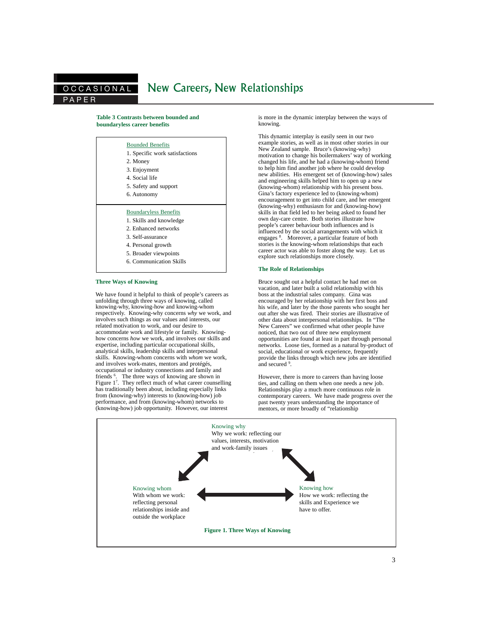## P APER OCCASIONAL New Careers, New Relationships

## **Table 3 Contrasts between bounded and boundaryless career benefits**

| <b>Bounded Benefits</b><br>1. Specific work satisfactions |
|-----------------------------------------------------------|
| 2. Money                                                  |
| 3. Enjoyment                                              |
| 4. Social life                                            |
| 5. Safety and support                                     |
| 6. Autonomy                                               |
|                                                           |
| <b>Boundaryless Benefits</b>                              |
| 1. Skills and knowledge                                   |
| 2. Enhanced networks                                      |
| 3. Self-assurance                                         |
| 4. Personal growth                                        |
| 5. Broader viewpoints                                     |

6. Communication Skills

## **Three Ways of Knowing**

We have found it helpful to think of people's careers as unfolding through three ways of knowing, called knowing-why, knowing-how and knowing-whom respectively. Knowing-why concerns *why* we work, and involves such things as our values and interests, our related motivation to work, and our desire to accommodate work and lifestyle or family. Knowinghow concerns *how* we work, and involves our skills and expertise, including particular occupational skills, analytical skills, leadership skills and interpersonal skills. Knowing-whom concerns with *whom* we work, and involves work-mates, mentors and protégés, occupational or industry connections and family and friends <sup>6</sup>. The three ways of knowing are shown in Figure 1<sup>7</sup>. They reflect much of what career counselling has traditionally been about, including especially links from (knowing-why) interests to (knowing-how) job performance, and from (knowing-whom) networks to (knowing-how) job opportunity. However, our interest

is more in the dynamic interplay between the ways of knowing.

This dynamic interplay is easily seen in our two example stories, as well as in most other stories in our New Zealand sample. Bruce's (knowing-why) motivation to change his boilermakers' way of working changed his life, and he had a (knowing-whom) friend to help him find another job where he could develop new abilities. His emergent set of (knowing-how) sales and engineering skills helped him to open up a new (knowing-whom) relationship with his present boss. Gina's factory experience led to (knowing-whom) encouragement to get into child care, and her emergent (knowing-why) enthusiasm for and (knowing-how) skills in that field led to her being asked to found her own day-care centre. Both stories illustrate how people's career behaviour both influences and is influenced by the social arrangements with which it engages <sup>8</sup>. Moreover, a particular feature of both stories is the knowing-whom relationships that each career actor was able to foster along the way. Let us explore such relationships more closely.

### **The Role of Relationships**

Bruce sought out a helpful contact he had met on vacation, and later built a solid relationship with his boss at the industrial sales company. Gina was encouraged by her relationship with her first boss and his wife, and later by the those parents who sought her out after she was fired. Their stories are illustrative of other data about interpersonal relationships. In "The New Careers" we confirmed what other people have noticed, that two out of three new employment opportunities are found at least in part through personal networks. Loose ties, formed as a natural by-product of social, educational or work experience, frequently provide the links through which new jobs are identified and secured <sup>9</sup>.

However, there is more to careers than having loose ties, and calling on them when one needs a new job. Relationships play a much more continuous role in contemporary careers. We have made progress over the past twenty years understanding the importance of mentors, or more broadly of "relationship

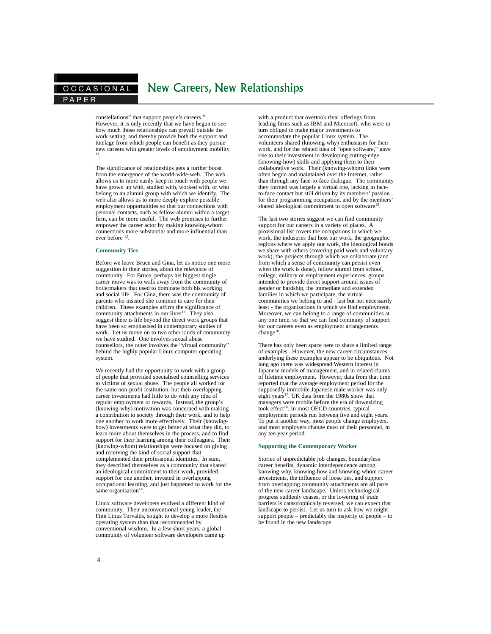# OCCASIONAL New Careers, New Relationships

constellations" that support people's careers  $^{10}$ . However, it is only recently that we have begun to see how much those relationships can prevail outside the work setting, and thereby provide both the support and tutelage from which people can benefit as they pursue new careers with greater levels of employment mobility 11.

The significance of relationships gets a further boost from the emergence of the world-wide-web. The web allows us to more easily keep in touch with people we have grown up with, studied with, worked with, or who belong to an alumni group with which we identify. The web also allows us to more deeply explore possible employment opportunities so that our connections with personal contacts, such as fellow-alumni within a target firm, can be more useful. The web promises to further empower the career actor by making knowing-whom connections more substantial and more influential than ever before 12.

## **Community Ties**

Before we leave Bruce and Gina, let us notice one more suggestion in their stories, about the relevance of community. For Bruce, perhaps his biggest single career move was to walk away from the community of boilermakers that used to dominate both his working and social life. For Gina, there was the community of parents who insisted she continue to care for their children. These examples affirm the significance of community attachments in our lives<sup>13</sup>. They also suggest there is life beyond the direct work groups that have been so emphasised in contemporary studies of work. Let us move on to two other kinds of community we have studied. One involves sexual abuse counsellors, the other involves the "virtual community" behind the highly popular Linux computer operating system.

We recently had the opportunity to work with a group of people that provided specialised counselling services to victims of sexual abuse. The people all worked for the same non-profit institution, but their overlapping career investments had little to do with any idea of regular employment or rewards. Instead, the group's (knowing-why) motivation was concerned with making a contribution to society through their work, and to help one another to work more effectively. Their (knowinghow) investments were to get better at what they did, to learn more about themselves in the process, and to find support for their learning among their colleagues. Their (knowing-whom) relationships were focused on giving and receiving the kind of social support that complemented their professional identities. In sum, they described themselves as a community that shared an ideological commitment to their work, provided support for one another, invested in overlapping occupational learning, and just happened to work for the same organisation $14$ .

Linux software developers evolved a different kind of community. Their unconventional young leader, the Finn Linus Torvalds, sought to develop a more flexible operating system than that recommended by conventional wisdom. In a few short years, a global community of volunteer software developers came up

with a product that overtook rival offerings from leading firms such as IBM and Microsoft, who were in turn obliged to make major investments to accommodate the popular Linux system. The volunteers shared (knowing-why) enthusiasm for their work, and for the related idea of "open software," gave rise to their investment in developing cutting-edge (knowing-how) skills and applying them to their collaborative work. Their (knowing-whom) links were often begun and maintained over the Internet, rather than through any face-to-face dialogue. The community they formed was largely a virtual one, lacking in faceto-face contact but still driven by its members' passion for their programming occupation, and by the members' shared ideological commitment to open software<sup>15</sup>.

The last two stories suggest we can find community support for our careers in a variety of places. A provisional list covers the occupations in which we work, the industries that host our work, the geographic regions where we apply our work, the ideological bonds we share with others (covering paid work and voluntary work), the projects through which we collaborate (and from which a sense of community can persist even when the work is done), fellow alumni from school, college, military or employment experiences, groups intended to provide direct support around issues of gender or hardship, the immediate and extended families in which we participate, the virtual communities we belong to and - last but not necessarily least - the organisations in which we find employment. Moreover, we can belong to a range of communities at any one time, so that we can find continuity of support for our careers even as employment arrangements change<sup>16</sup>.

There has only been space here to share a limited range of examples. However, the new career circumstances underlying these examples appear to be ubiquitous. Not long ago there was widespread Western interest in Japanese models of management, and in related claims of lifetime employment. However, data from that time reported that the average employment period for the supposedly immobile Japanese male worker was only<br>eight years<sup>17</sup>. UK data from the 1980s show that managers were mobile before the era of downsizing took effect<sup>18</sup>. In most OECD countries, typical employment periods run between five and eight years. To put it another way, most people change employers, and most employers change most of their personnel, in any ten year period.

## **Supporting the Contemporary Worker**

Stories of unpredictable job changes, boundaryless career benefits, dynamic interdependence among knowing-why, knowing-how and knowing-whom career investments, the influence of loose ties, and support from overlapping community attachments are all parts of the new career landscape. Unless technological progress suddenly ceases, or the lowering of trade barriers is catastrophically reversed, we can expect that landscape to persist. Let us turn to ask how we might support people – predictably the majority of people – to be found in the new landscape.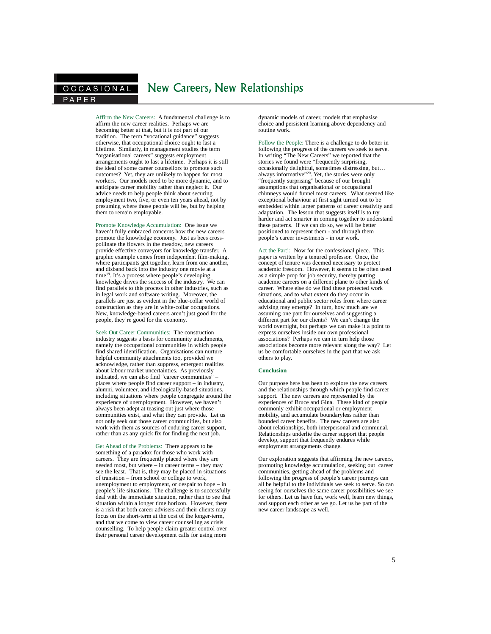# OCCASIONAL New Careers, New Relationships

Affirm the New Careers: A fundamental challenge is to affirm the new career realities. Perhaps we are becoming better at that, but it is not part of our tradition. The term "vocational guidance" suggests otherwise, that occupational choice ought to last a lifetime. Similarly, in management studies the term "organisational careers" suggests employment arrangements ought to last a lifetime. Perhaps it is still the ideal of some career counsellors to promote such outcomes? Yet, they are unlikely to happen for most workers. Our models need to be more dynamic, and to anticipate career mobility rather than neglect it. Our advice needs to help people think about securing employment two, five, or even ten years ahead, not by presuming where those people will be, but by helping them to remain employable.

Promote Knowledge Accumulation: One issue we haven't fully embraced concerns how the new careers promote the knowledge economy. Just as bees crosspollinate the flowers in the meadow, new careers provide effective conveyors for knowledge transfer. A graphic example comes from independent film-making, where participants get together, learn from one another, and disband back into the industry one movie at a time<sup>19</sup>. It's a process where people's developing knowledge drives the success of the industry. We can find parallels to this process in other industries, such as in legal work and software writing. Moreover, the parallels are just as evident in the blue-collar world of construction as they are in white-collar occupations. New, knowledge-based careers aren't just good for the people, they're good for the economy.

Seek Out Career Communities: The construction industry suggests a basis for community attachments, namely the occupational communities in which people find shared identification. Organisations can nurture helpful community attachments too, provided we acknowledge, rather than suppress, emergent realities about labour market uncertainties. As previously indicated, we can also find "career communities" – places where people find career support – in industry, alumni, volunteer, and ideologically-based situations, including situations where people congregate around the experience of unemployment. However, we haven't always been adept at teasing out just where those communities exist, and what they can provide. Let us not only seek out those career communities, but also work with them as sources of enduring career support, rather than as any quick fix for finding the next job.

Get Ahead of the Problems: There appears to be something of a paradox for those who work with careers. They are frequently placed where they are needed most, but where – in career terms – they may see the least. That is, they may be placed in situations of transition – from school or college to work, unemployment to employment, or despair to hope – in people's life situations. The challenge is to successfully deal with the immediate situation, rather than to see that situation within a longer time horizon. However, there is a risk that both career advisers and their clients may focus on the short-term at the cost of the longer-term, and that we come to view career counselling as crisis counselling. To help people claim greater control over their personal career development calls for using more

dynamic models of career, models that emphasise choice and persistent learning above dependency and routine work.

Follow the People: There is a challenge to do better in following the progress of the careers we seek to serve. In writing "The New Careers" we reported that the stories we found were "frequently surprising, occasionally delightful, sometimes distressing, but… always informative"<sup>20</sup>. Yet, the stories were only "frequently surprising" because of our brought assumptions that organisational or occupational chimneys would funnel most careers. What seemed like exceptional behaviour at first sight turned out to be embedded within larger patterns of career creativity and adaptation. The lesson that suggests itself is to try harder and act smarter in coming together to understand these patterns. If we can do so, we will be better positioned to represent them - and through them people's career investments - in our work.

Act the Part!: Now for the confessional piece. This paper is written by a tenured professor. Once, the concept of tenure was deemed necessary to protect academic freedom. However, it seems to be often used as a simple prop for job security, thereby putting academic careers on a different plane to other kinds of career. Where else do we find these protected work situations, and to what extent do they occur in educational and public sector roles from where career advising may emerge? In turn, how much are we assuming one part for ourselves and suggesting a different part for our clients? We can't change the world overnight, but perhaps we can make it a point to express ourselves inside our own professional associations? Perhaps we can in turn help those associations become more relevant along the way? Let us be comfortable ourselves in the part that we ask others to play.

## **Conclusion**

Our purpose here has been to explore the new careers and the relationships through which people find career support. The new careers are represented by the experiences of Bruce and Gina. These kind of people commonly exhibit occupational or employment mobility, and accumulate boundaryless rather than bounded career benefits. The new careers are also about relationships, both interpersonal and communal. Relationships underlie the career support that people develop, support that frequently endures while employment arrangements change.

Our exploration suggests that affirming the new careers, promoting knowledge accumulation, seeking out career communities, getting ahead of the problems and following the progress of people's career journeys can all be helpful to the individuals we seek to serve. So can seeing for ourselves the same career possibilities we see for others. Let us have fun, work well, learn new things, and support each other as we go. Let us be part of the new career landscape as well.